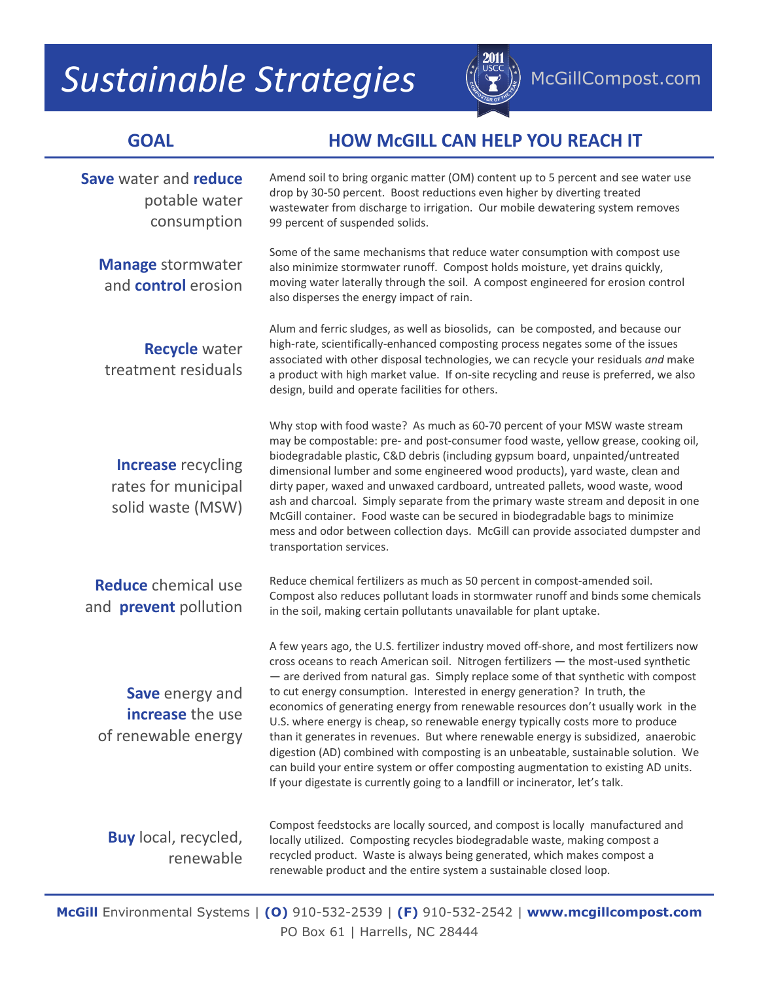## **Sustainable Strategies** ( $\left(\frac{2011}{2}\right)$  McGillCompost.com



## **GOAL HOW McGILL CAN HELP YOU REACH IT**

| Save water and reduce<br>potable water<br>consumption                 | Amend soil to bring organic matter (OM) content up to 5 percent and see water use<br>drop by 30-50 percent. Boost reductions even higher by diverting treated<br>wastewater from discharge to irrigation. Our mobile dewatering system removes<br>99 percent of suspended solids.                                                                                                                                                                                                                                                                                                                                                                                                                                                                                                                                                                                              |  |  |
|-----------------------------------------------------------------------|--------------------------------------------------------------------------------------------------------------------------------------------------------------------------------------------------------------------------------------------------------------------------------------------------------------------------------------------------------------------------------------------------------------------------------------------------------------------------------------------------------------------------------------------------------------------------------------------------------------------------------------------------------------------------------------------------------------------------------------------------------------------------------------------------------------------------------------------------------------------------------|--|--|
| <b>Manage stormwater</b><br>and <b>control</b> erosion                | Some of the same mechanisms that reduce water consumption with compost use<br>also minimize stormwater runoff. Compost holds moisture, yet drains quickly,<br>moving water laterally through the soil. A compost engineered for erosion control<br>also disperses the energy impact of rain.                                                                                                                                                                                                                                                                                                                                                                                                                                                                                                                                                                                   |  |  |
| <b>Recycle</b> water<br>treatment residuals                           | Alum and ferric sludges, as well as biosolids, can be composted, and because our<br>high-rate, scientifically-enhanced composting process negates some of the issues<br>associated with other disposal technologies, we can recycle your residuals and make<br>a product with high market value. If on-site recycling and reuse is preferred, we also<br>design, build and operate facilities for others.                                                                                                                                                                                                                                                                                                                                                                                                                                                                      |  |  |
| <b>Increase</b> recycling<br>rates for municipal<br>solid waste (MSW) | Why stop with food waste? As much as 60-70 percent of your MSW waste stream<br>may be compostable: pre- and post-consumer food waste, yellow grease, cooking oil,<br>biodegradable plastic, C&D debris (including gypsum board, unpainted/untreated<br>dimensional lumber and some engineered wood products), yard waste, clean and<br>dirty paper, waxed and unwaxed cardboard, untreated pallets, wood waste, wood<br>ash and charcoal. Simply separate from the primary waste stream and deposit in one<br>McGill container. Food waste can be secured in biodegradable bags to minimize<br>mess and odor between collection days. McGill can provide associated dumpster and<br>transportation services.                                                                                                                                                                   |  |  |
| <b>Reduce</b> chemical use<br>and <b>prevent</b> pollution            | Reduce chemical fertilizers as much as 50 percent in compost-amended soil.<br>Compost also reduces pollutant loads in stormwater runoff and binds some chemicals<br>in the soil, making certain pollutants unavailable for plant uptake.                                                                                                                                                                                                                                                                                                                                                                                                                                                                                                                                                                                                                                       |  |  |
| Save energy and<br>increase the use<br>of renewable energy            | A few years ago, the U.S. fertilizer industry moved off-shore, and most fertilizers now<br>cross oceans to reach American soil. Nitrogen fertilizers - the most-used synthetic<br>- are derived from natural gas. Simply replace some of that synthetic with compost<br>to cut energy consumption. Interested in energy generation? In truth, the<br>economics of generating energy from renewable resources don't usually work in the<br>U.S. where energy is cheap, so renewable energy typically costs more to produce<br>than it generates in revenues. But where renewable energy is subsidized, anaerobic<br>digestion (AD) combined with composting is an unbeatable, sustainable solution. We<br>can build your entire system or offer composting augmentation to existing AD units.<br>If your digestate is currently going to a landfill or incinerator, let's talk. |  |  |
| <b>Buy</b> local, recycled,<br>renewable                              | Compost feedstocks are locally sourced, and compost is locally manufactured and<br>locally utilized. Composting recycles biodegradable waste, making compost a<br>recycled product. Waste is always being generated, which makes compost a<br>renewable product and the entire system a sustainable closed loop.                                                                                                                                                                                                                                                                                                                                                                                                                                                                                                                                                               |  |  |